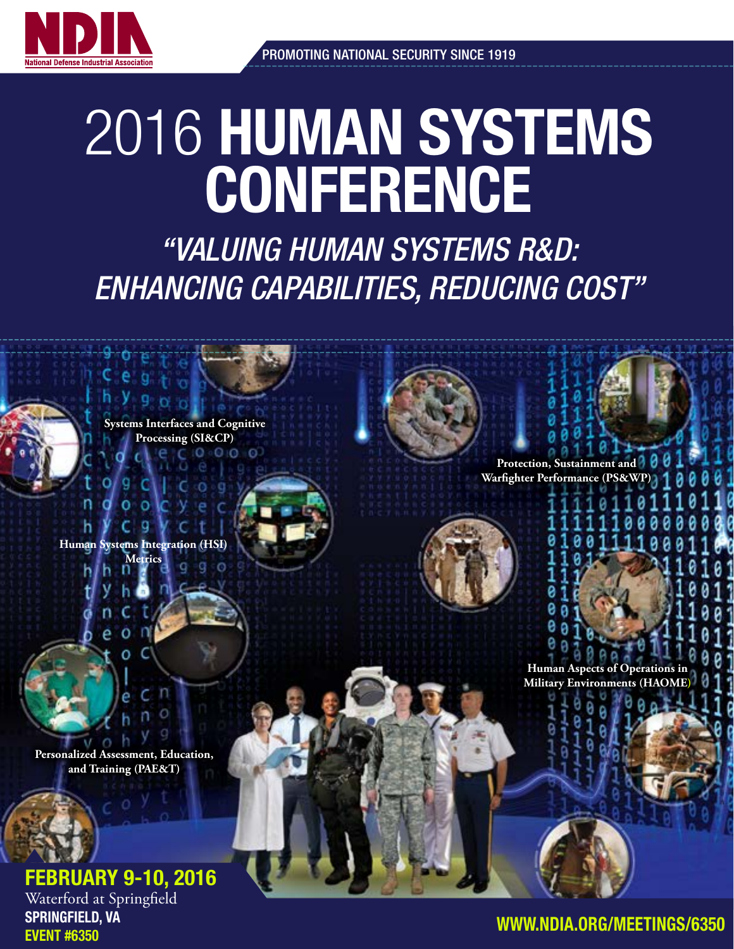

# 2016 HUMAN SYSTEMS **CONFERENCE**

*"VALUING HUMAN SYSTEMS R&D: ENHANCING CAPABILITIES, REDUCING COST"*

**Systems Interfaces and Cognitive Processing (SI&CP)**

**Human Metrics**

**Personalized Assessment, Education, and Training (PAE&T)**

# FEBRUARY 9-10, 2016

Waterford at Springfield SPRINGFIELD, VA EVENT #6350



**Human Aspects of Operations in Military Environments (HAC** 

**Protection, Sustainment Warfighter Performance (PS**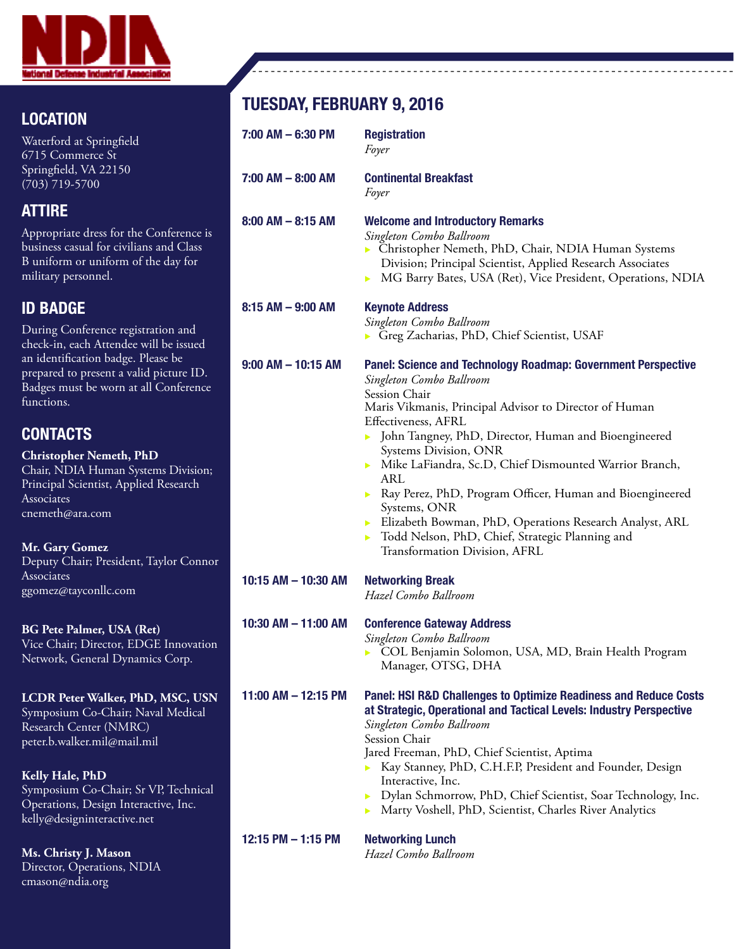

## LOCATION

Waterford at Springfield 6715 Commerce St Springfield, VA 22150 (703) 719-5700

#### ATTIRE

Appropriate dress for the Conference is business casual for civilians and Class B uniform or uniform of the day for military personnel.

### ID BADGE

During Conference registration and check-in, each Attendee will be issued an identification badge. Please be prepared to present a valid picture ID. Badges must be worn at all Conference functions.

# **CONTACTS**

**Christopher Nemeth, PhD** Chair, NDIA Human Systems Division; Principal Scientist, Applied Research **Associates** cnemeth@ara.com

#### **Mr. Gary Gomez**

Deputy Chair; President, Taylor Connor **Associates** ggomez@tayconllc.com

#### **BG Pete Palmer, USA (Ret)**

Vice Chair; Director, EDGE Innovation Network, General Dynamics Corp.

**LCDR Peter Walker, PhD, MSC, USN** Symposium Co-Chair; Naval Medical Research Center (NMRC) peter.b.walker.mil@mail.mil

**Kelly Hale, PhD** Symposium Co-Chair; Sr VP, Technical Operations, Design Interactive, Inc. kelly@designinteractive.net

**Ms. Christy J. Mason** Director, Operations, NDIA cmason@ndia.org

# TUESDAY, FEBRUARY 9, 2016

| $7:00$ AM $-6:30$ PM    | <b>Registration</b><br>Foyer                                                                                                                                                                                                                                                                                                                                                                                                                                                                                                                                                                      |
|-------------------------|---------------------------------------------------------------------------------------------------------------------------------------------------------------------------------------------------------------------------------------------------------------------------------------------------------------------------------------------------------------------------------------------------------------------------------------------------------------------------------------------------------------------------------------------------------------------------------------------------|
| 7:00 AM - 8:00 AM       | <b>Continental Breakfast</b><br>Foyer                                                                                                                                                                                                                                                                                                                                                                                                                                                                                                                                                             |
| $8:00$ AM $- 8:15$ AM   | <b>Welcome and Introductory Remarks</b><br>Singleton Combo Ballroom<br>> Christopher Nemeth, PhD, Chair, NDIA Human Systems<br>Division; Principal Scientist, Applied Research Associates<br>MG Barry Bates, USA (Ret), Vice President, Operations, NDIA<br>Þ.                                                                                                                                                                                                                                                                                                                                    |
| $8:15$ AM $-$ 9:00 AM   | <b>Keynote Address</b><br>Singleton Combo Ballroom<br>Greg Zacharias, PhD, Chief Scientist, USAF                                                                                                                                                                                                                                                                                                                                                                                                                                                                                                  |
| $9:00$ AM $-$ 10:15 AM  | <b>Panel: Science and Technology Roadmap: Government Perspective</b><br>Singleton Combo Ballroom<br>Session Chair<br>Maris Vikmanis, Principal Advisor to Director of Human<br>Effectiveness, AFRL<br>• John Tangney, PhD, Director, Human and Bioengineered<br>Systems Division, ONR<br>Mike LaFiandra, Sc.D, Chief Dismounted Warrior Branch,<br>ARL<br>Ray Perez, PhD, Program Officer, Human and Bioengineered<br>▶<br>Systems, ONR<br>Elizabeth Bowman, PhD, Operations Research Analyst, ARL<br>▶.<br>Todd Nelson, PhD, Chief, Strategic Planning and<br>▶<br>Transformation Division, AFRL |
| 10:15 AM - 10:30 AM     | <b>Networking Break</b><br>Hazel Combo Ballroom                                                                                                                                                                                                                                                                                                                                                                                                                                                                                                                                                   |
| 10:30 AM - 11:00 AM     | <b>Conference Gateway Address</b><br>Singleton Combo Ballroom<br>COL Benjamin Solomon, USA, MD, Brain Health Program<br>Manager, OTSG, DHA                                                                                                                                                                                                                                                                                                                                                                                                                                                        |
| $11:00$ AM $- 12:15$ PM | Panel: HSI R&D Challenges to Optimize Readiness and Reduce Costs<br>at Strategic, Operational and Tactical Levels: Industry Perspective<br>Singleton Combo Ballroom<br>Session Chair<br>Jared Freeman, PhD, Chief Scientist, Aptima<br>> Kay Stanney, PhD, C.H.F.P, President and Founder, Design<br>Interactive, Inc.<br>Dylan Schmorrow, PhD, Chief Scientist, Soar Technology, Inc.<br>▶<br>Marty Voshell, PhD, Scientist, Charles River Analytics                                                                                                                                             |
| 12:15 PM - 1:15 PM      | <b>Networking Lunch</b><br>Hazel Combo Ballroom                                                                                                                                                                                                                                                                                                                                                                                                                                                                                                                                                   |

<u> - - - - - - - - - - - -</u>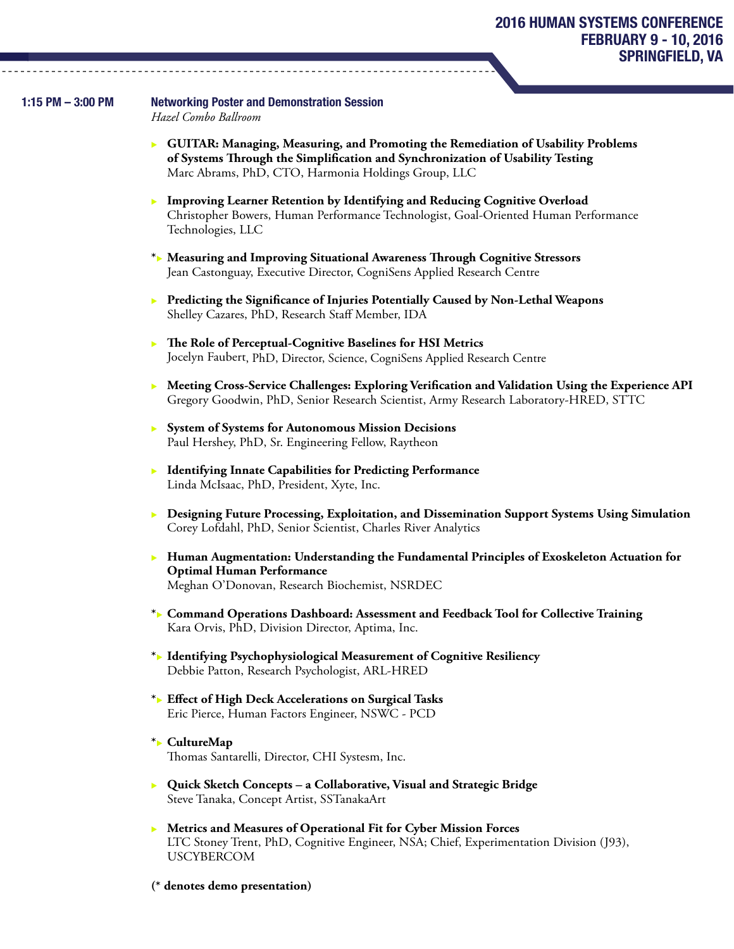#### 1:15 PM – 3:00 PM Networking Poster and Demonstration Session

*Hazel Combo Ballroom*

- **EXECUITAR: Managing, Measuring, and Promoting the Remediation of Usability Problems of Systems Through the Simplification and Synchronization of Usability Testing** Marc Abrams, PhD, CTO, Harmonia Holdings Group, LLC
- <sup>u</sup> **Improving Learner Retention by Identifying and Reducing Cognitive Overload** Christopher Bowers, Human Performance Technologist, Goal-Oriented Human Performance Technologies, LLC
- **\***<sup>u</sup> **Measuring and Improving Situational Awareness Through Cognitive Stressors** Jean Castonguay, Executive Director, CogniSens Applied Research Centre
- <sup>u</sup> **Predicting the Significance of Injuries Potentially Caused by Non-Lethal Weapons** Shelley Cazares, PhD, Research Staff Member, IDA
- <sup>u</sup> **The Role of Perceptual-Cognitive Baselines for HSI Metrics** Jocelyn Faubert, PhD, Director, Science, CogniSens Applied Research Centre
- <sup>u</sup> **Meeting Cross-Service Challenges: Exploring Verification and Validation Using the Experience API** Gregory Goodwin, PhD, Senior Research Scientist, Army Research Laboratory-HRED, STTC
- <sup>u</sup> **System of Systems for Autonomous Mission Decisions** Paul Hershey, PhD, Sr. Engineering Fellow, Raytheon
- **Identifying Innate Capabilities for Predicting Performance** Linda McIsaac, PhD, President, Xyte, Inc.
- **EXP** Designing Future Processing, Exploitation, and Dissemination Support Systems Using Simulation Corey Lofdahl, PhD, Senior Scientist, Charles River Analytics
- **Human Augmentation: Understanding the Fundamental Principles of Exoskeleton Actuation for Optimal Human Performance** Meghan O'Donovan, Research Biochemist, NSRDEC
- **\***<sup>u</sup> **Command Operations Dashboard: Assessment and Feedback Tool for Collective Training** Kara Orvis, PhD, Division Director, Aptima, Inc.
- **\*** Identifying Psychophysiological Measurement of Cognitive Resiliency Debbie Patton, Research Psychologist, ARL-HRED
- **\***<sup>u</sup> **Effect of High Deck Accelerations on Surgical Tasks** Eric Pierce, Human Factors Engineer, NSWC - PCD
- **\* CultureMap** Thomas Santarelli, Director, CHI Systesm, Inc.
- **Quick Sketch Concepts a Collaborative, Visual and Strategic Bridge** Steve Tanaka, Concept Artist, SSTanakaArt
- **EXECUTE: Metrics and Measures of Operational Fit for Cyber Mission Forces** LTC Stoney Trent, PhD, Cognitive Engineer, NSA; Chief, Experimentation Division (J93), USCYBERCOM
- **(\* denotes demo presentation)**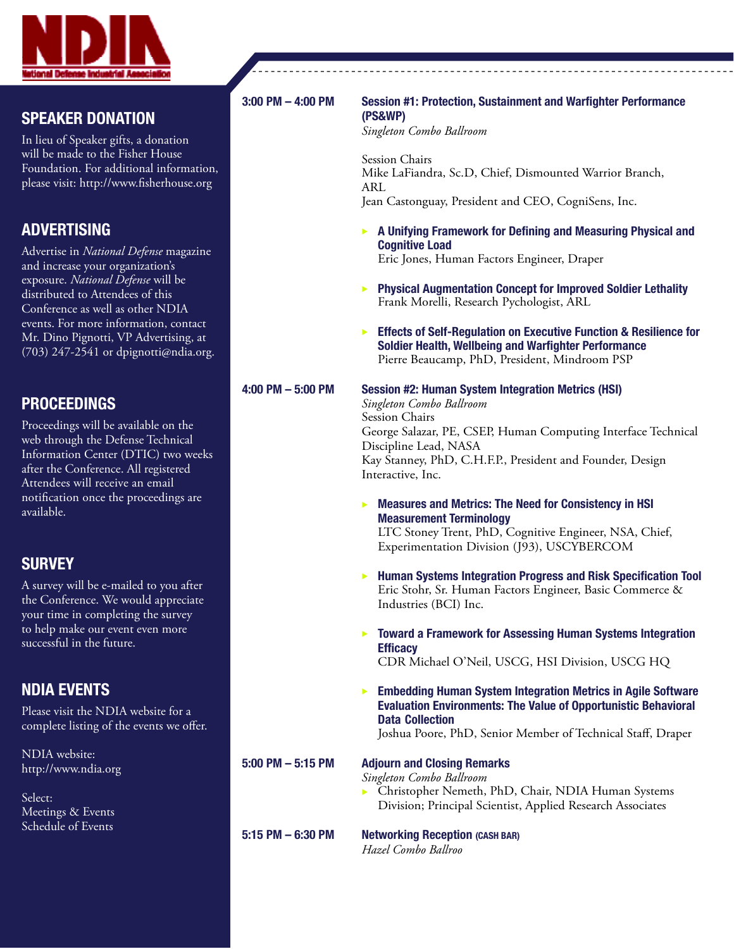

#### SPEAKER DONATION

In lieu of Speaker gifts, a donation will be made to the Fisher House Foundation. For additional information, please visit: http://www.fisherhouse.org

#### ADVERTISING

Advertise in *National Defense* magazine and increase your organization's exposure. *National Defense* will be distributed to Attendees of this Conference as well as other NDIA events. For more information, contact Mr. Dino Pignotti, VP Advertising, at (703) 247-2541 or dpignotti@ndia.org.

#### PROCEEDINGS

Proceedings will be available on the web through the Defense Technical Information Center (DTIC) two weeks after the Conference. All registered Attendees will receive an email notification once the proceedings are available.

#### **SURVEY**

A survey will be e-mailed to you after the Conference. We would appreciate your time in completing the survey to help make our event even more successful in the future.

#### NDIA EVENTS

Please visit the NDIA website for a complete listing of the events we offer.

NDIA website: http://www.ndia.org

Select: Meetings & Events Schedule of Events

#### 3:00 PM – 4:00 PM Session #1: Protection, Sustainment and Warfighter Performance (PS&WP)

*Singleton Combo Ballroom*

Session Chairs Mike LaFiandra, Sc.D, Chief, Dismounted Warrior Branch, ARL Jean Castonguay, President and CEO, CogniSens, Inc.

- $\triangleright$  A Unifying Framework for Defining and Measuring Physical and Cognitive Load Eric Jones, Human Factors Engineer, Draper
- $\triangleright$  Physical Augmentation Concept for Improved Soldier Lethality Frank Morelli, Research Pychologist, ARL
- Effects of Self-Regulation on Executive Function & Resilience for Soldier Health, Wellbeing and Warfighter Performance Pierre Beaucamp, PhD, President, Mindroom PSP
- 

#### 4:00 PM – 5:00 PM Session #2: Human System Integration Metrics (HSI)

*Singleton Combo Ballroom* Session Chairs George Salazar, PE, CSEP, Human Computing Interface Technical Discipline Lead, NASA Kay Stanney, PhD, C.H.F.P., President and Founder, Design Interactive, Inc.

 $\triangleright$  Measures and Metrics: The Need for Consistency in HSI Measurement Terminology

LTC Stoney Trent, PhD, Cognitive Engineer, NSA, Chief, Experimentation Division (J93), USCYBERCOM

- $\blacktriangleright$  Human Systems Integration Progress and Risk Specification Tool Eric Stohr, Sr. Human Factors Engineer, Basic Commerce & Industries (BCI) Inc.
- $\triangleright$  Toward a Framework for Assessing Human Systems Integration **Efficacy**

CDR Michael O'Neil, USCG, HSI Division, USCG HQ

**Embedding Human System Integration Metrics in Agile Software** Evaluation Environments: The Value of Opportunistic Behavioral Data Collection

Joshua Poore, PhD, Senior Member of Technical Staff, Draper

#### 5:00 PM – 5:15 PM Adjourn and Closing Remarks

*Singleton Combo Ballroom*

- <sup>u</sup> Christopher Nemeth, PhD, Chair, NDIA Human Systems Division; Principal Scientist, Applied Research Associates
- 

5:15 PM – 6:30 PM Networking Reception (CASH BAR)

*Hazel Combo Ballroo*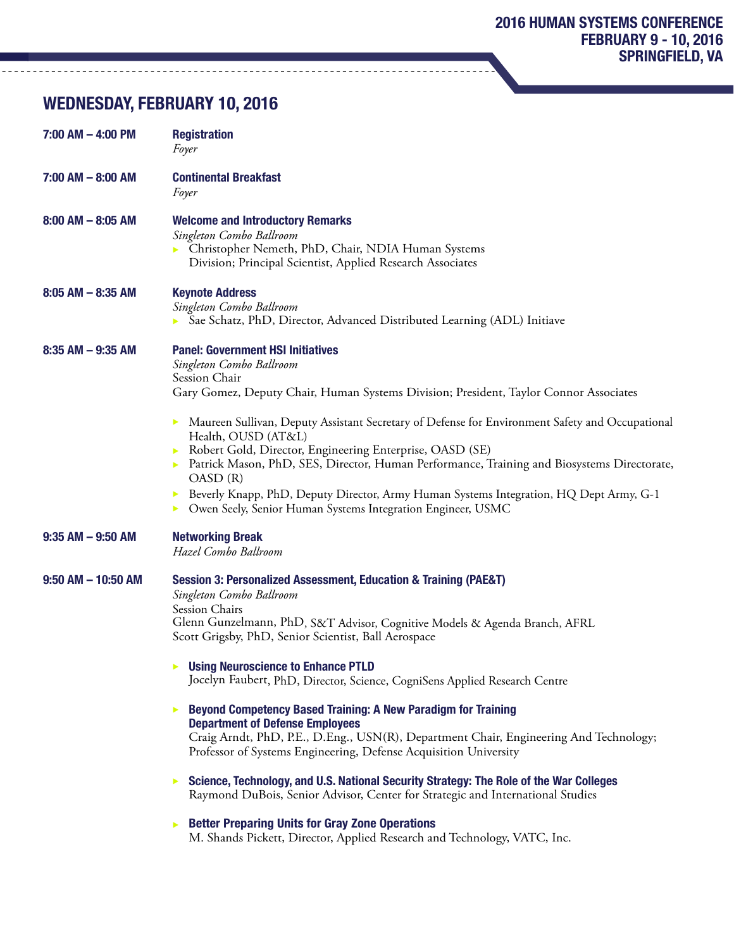# WEDNESDAY, FEBRUARY 10, 2016

| $7:00$ AM $-$ 4:00 PM  | <b>Registration</b><br>Foyer                                                                                                                                                                                                                                                                                                                                                                                                                                                                                                                                                                                                                                                                                                                                                                                                                         |
|------------------------|------------------------------------------------------------------------------------------------------------------------------------------------------------------------------------------------------------------------------------------------------------------------------------------------------------------------------------------------------------------------------------------------------------------------------------------------------------------------------------------------------------------------------------------------------------------------------------------------------------------------------------------------------------------------------------------------------------------------------------------------------------------------------------------------------------------------------------------------------|
| $7:00$ AM $-$ 8:00 AM  | <b>Continental Breakfast</b><br>Foyer                                                                                                                                                                                                                                                                                                                                                                                                                                                                                                                                                                                                                                                                                                                                                                                                                |
| $8:00$ AM $-8:05$ AM   | <b>Welcome and Introductory Remarks</b><br>Singleton Combo Ballroom<br>• Christopher Nemeth, PhD, Chair, NDIA Human Systems<br>Division; Principal Scientist, Applied Research Associates                                                                                                                                                                                                                                                                                                                                                                                                                                                                                                                                                                                                                                                            |
| $8:05$ AM $-$ 8:35 AM  | <b>Keynote Address</b><br>Singleton Combo Ballroom<br>Sae Schatz, PhD, Director, Advanced Distributed Learning (ADL) Initiave                                                                                                                                                                                                                                                                                                                                                                                                                                                                                                                                                                                                                                                                                                                        |
| $8:35$ AM $-9:35$ AM   | <b>Panel: Government HSI Initiatives</b><br>Singleton Combo Ballroom<br>Session Chair<br>Gary Gomez, Deputy Chair, Human Systems Division; President, Taylor Connor Associates<br>Maureen Sullivan, Deputy Assistant Secretary of Defense for Environment Safety and Occupational<br>▶<br>Health, OUSD (AT&L)<br>Robert Gold, Director, Engineering Enterprise, OASD (SE)<br>Patrick Mason, PhD, SES, Director, Human Performance, Training and Biosystems Directorate,<br>OASD(R)<br>Beverly Knapp, PhD, Deputy Director, Army Human Systems Integration, HQ Dept Army, G-1<br>▶<br>Owen Seely, Senior Human Systems Integration Engineer, USMC<br>▶                                                                                                                                                                                                |
| $9:35$ AM $-9:50$ AM   | <b>Networking Break</b><br>Hazel Combo Ballroom                                                                                                                                                                                                                                                                                                                                                                                                                                                                                                                                                                                                                                                                                                                                                                                                      |
| $9:50$ AM $-$ 10:50 AM | Session 3: Personalized Assessment, Education & Training (PAE&T)<br>Singleton Combo Ballroom<br>Session Chairs<br>Glenn Gunzelmann, PhD, S&T Advisor, Cognitive Models & Agenda Branch, AFRL<br>Scott Grigsby, PhD, Senior Scientist, Ball Aerospace<br><b>Using Neuroscience to Enhance PTLD</b><br>Jocelyn Faubert, PhD, Director, Science, CogniSens Applied Research Centre<br><b>Beyond Competency Based Training: A New Paradigm for Training</b><br>Þ<br><b>Department of Defense Employees</b><br>Craig Arndt, PhD, P.E., D.Eng., USN(R), Department Chair, Engineering And Technology;<br>Professor of Systems Engineering, Defense Acquisition University<br>Science, Technology, and U.S. National Security Strategy: The Role of the War Colleges<br>▶<br>Raymond DuBois, Senior Advisor, Center for Strategic and International Studies |
|                        | <b>Better Preparing Units for Gray Zone Operations</b><br>▶<br>M. Shands Pickett, Director, Applied Research and Technology, VATC, Inc.                                                                                                                                                                                                                                                                                                                                                                                                                                                                                                                                                                                                                                                                                                              |